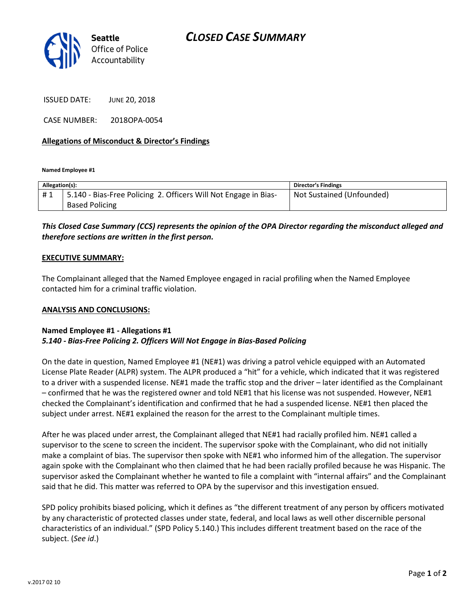

ISSUED DATE: JUNE 20, 2018

CASE NUMBER: 2018OPA-0054

### Allegations of Misconduct & Director's Findings

Named Employee #1

| Allegation(s): |                                                                 | <b>Director's Findings</b> |
|----------------|-----------------------------------------------------------------|----------------------------|
| #1             | 5.140 - Bias-Free Policing 2. Officers Will Not Engage in Bias- | Not Sustained (Unfounded)  |
|                | <b>Based Policing</b>                                           |                            |

# This Closed Case Summary (CCS) represents the opinion of the OPA Director regarding the misconduct alleged and therefore sections are written in the first person.

#### EXECUTIVE SUMMARY:

The Complainant alleged that the Named Employee engaged in racial profiling when the Named Employee contacted him for a criminal traffic violation.

#### ANALYSIS AND CONCLUSIONS:

## Named Employee #1 - Allegations #1 5.140 - Bias-Free Policing 2. Officers Will Not Engage in Bias-Based Policing

On the date in question, Named Employee #1 (NE#1) was driving a patrol vehicle equipped with an Automated License Plate Reader (ALPR) system. The ALPR produced a "hit" for a vehicle, which indicated that it was registered to a driver with a suspended license. NE#1 made the traffic stop and the driver – later identified as the Complainant – confirmed that he was the registered owner and told NE#1 that his license was not suspended. However, NE#1 checked the Complainant's identification and confirmed that he had a suspended license. NE#1 then placed the subject under arrest. NE#1 explained the reason for the arrest to the Complainant multiple times.

After he was placed under arrest, the Complainant alleged that NE#1 had racially profiled him. NE#1 called a supervisor to the scene to screen the incident. The supervisor spoke with the Complainant, who did not initially make a complaint of bias. The supervisor then spoke with NE#1 who informed him of the allegation. The supervisor again spoke with the Complainant who then claimed that he had been racially profiled because he was Hispanic. The supervisor asked the Complainant whether he wanted to file a complaint with "internal affairs" and the Complainant said that he did. This matter was referred to OPA by the supervisor and this investigation ensued.

SPD policy prohibits biased policing, which it defines as "the different treatment of any person by officers motivated by any characteristic of protected classes under state, federal, and local laws as well other discernible personal characteristics of an individual." (SPD Policy 5.140.) This includes different treatment based on the race of the subject. (See id.)